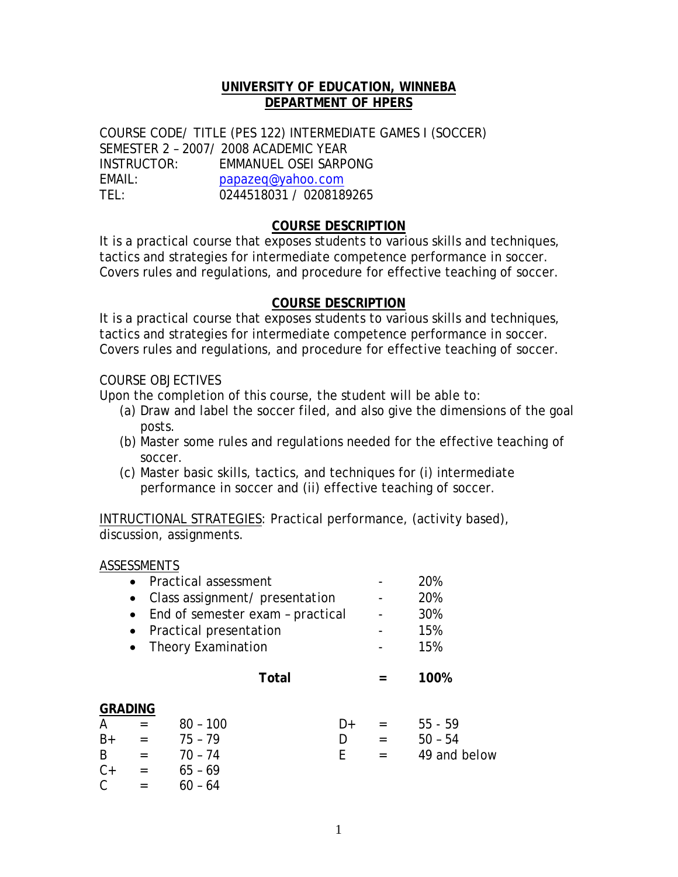## **UNIVERSITY OF EDUCATION, WINNEBA DEPARTMENT OF HPERS**

COURSE CODE/ TITLE (PES 122) INTERMEDIATE GAMES I (SOCCER) SEMESTER 2 – 2007/ 2008 ACADEMIC YEAR INSTRUCTOR: EMMANUEL OSEI SARPONG EMAIL: papazeq@yahoo.com TEL: 0244518031 / 0208189265

#### **COURSE DESCRIPTION**

It is a practical course that exposes students to various skills and techniques, tactics and strategies for intermediate competence performance in soccer. Covers rules and regulations, and procedure for effective teaching of soccer.

## **COURSE DESCRIPTION**

It is a practical course that exposes students to various skills and techniques, tactics and strategies for intermediate competence performance in soccer. Covers rules and regulations, and procedure for effective teaching of soccer.

#### COURSE OBJECTIVES

Upon the completion of this course, the student will be able to:

- (a) Draw and label the soccer filed, and also give the dimensions of the goal posts.
- (b) Master some rules and regulations needed for the effective teaching of soccer.
- (c) Master basic skills, tactics, and techniques for (i) intermediate performance in soccer and (ii) effective teaching of soccer.

INTRUCTIONAL STRATEGIES: Practical performance, (activity based), discussion, assignments.

#### ASSESSMENTS

|      | • Practical assessment<br>Class assignment/ presentation<br>End of semester exam - practical<br>Practical presentation |                    |              |     | 20%<br>20%<br>30%<br>15% |
|------|------------------------------------------------------------------------------------------------------------------------|--------------------|--------------|-----|--------------------------|
|      |                                                                                                                        | Theory Examination | <b>Total</b> |     | 15%<br>100%              |
|      | <b>GRADING</b>                                                                                                         |                    |              |     |                          |
| A    | $=$                                                                                                                    | $80 - 100$         | D+           |     | $55 - 59$                |
| $B+$ | $=$                                                                                                                    | $75 - 79$          | D            | $=$ | $50 - 54$                |
| B    | $=$                                                                                                                    | $70 - 74$          | F            |     | 49 and below             |
| $C+$ | $=$                                                                                                                    | $65 - 69$          |              |     |                          |

 $C = 60 - 64$